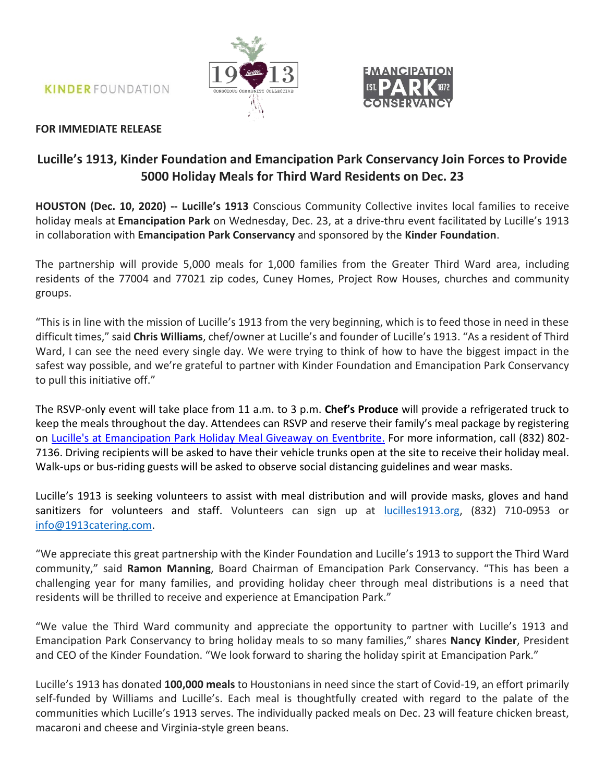**KINDER FOUNDATION** 





## **FOR IMMEDIATE RELEASE**

# **Lucille's 1913, Kinder Foundation and Emancipation Park Conservancy Join Forces to Provide 5000 Holiday Meals for Third Ward Residents on Dec. 23**

**HOUSTON (Dec. 10, 2020) -- Lucille's 1913** Conscious Community Collective invites local families to receive holiday meals at **Emancipation Park** on Wednesday, Dec. 23, at a drive-thru event facilitated by Lucille's 1913 in collaboration with **Emancipation Park Conservancy** and sponsored by the **Kinder Foundation**.

The partnership will provide 5,000 meals for 1,000 families from the Greater Third Ward area, including residents of the 77004 and 77021 zip codes, Cuney Homes, Project Row Houses, churches and community groups.

"This is in line with the mission of Lucille's 1913 from the very beginning, which is to feed those in need in these difficult times," said **Chris Williams**, chef/owner at Lucille's and founder of Lucille's 1913. "As a resident of Third Ward, I can see the need every single day. We were trying to think of how to have the biggest impact in the safest way possible, and we're grateful to partner with Kinder Foundation and Emancipation Park Conservancy to pull this initiative off."

The RSVP-only event will take place from 11 a.m. to 3 p.m. **Chef's Produce** will provide a refrigerated truck to keep the meals throughout the day. Attendees can RSVP and reserve their family's meal package by registering on [Lucille's at Emancipation Park Holiday Meal Giveaway on](https://www.eventbrite.com/e/lucilles-at-emancipation-park-holiday-meal-giveaway-tickets-131399249693) Eventbrite. For more information, call (832) 802- 7136. Driving recipients will be asked to have their vehicle trunks open at the site to receive their holiday meal. Walk-ups or bus-riding guests will be asked to observe social distancing guidelines and wear masks.

Lucille's 1913 is seeking volunteers to assist with meal distribution and will provide masks, gloves and hand sanitizers for volunteers and staff. Volunteers can sign up at **lucilles1913.org**, (832) 710-0953 or [info@1913catering.com.](mailto:info@1913catering.com)

"We appreciate this great partnership with the Kinder Foundation and Lucille's 1913 to support the Third Ward community," said **Ramon Manning**, Board Chairman of Emancipation Park Conservancy. "This has been a challenging year for many families, and providing holiday cheer through meal distributions is a need that residents will be thrilled to receive and experience at Emancipation Park."

"We value the Third Ward community and appreciate the opportunity to partner with Lucille's 1913 and Emancipation Park Conservancy to bring holiday meals to so many families," shares **Nancy Kinder**, President and CEO of the Kinder Foundation. "We look forward to sharing the holiday spirit at Emancipation Park."

Lucille's 1913 has donated **100,000 meals** to Houstonians in need since the start of Covid-19, an effort primarily self-funded by Williams and Lucille's. Each meal is thoughtfully created with regard to the palate of the communities which Lucille's 1913 serves. The individually packed meals on Dec. 23 will feature chicken breast, macaroni and cheese and Virginia-style green beans.